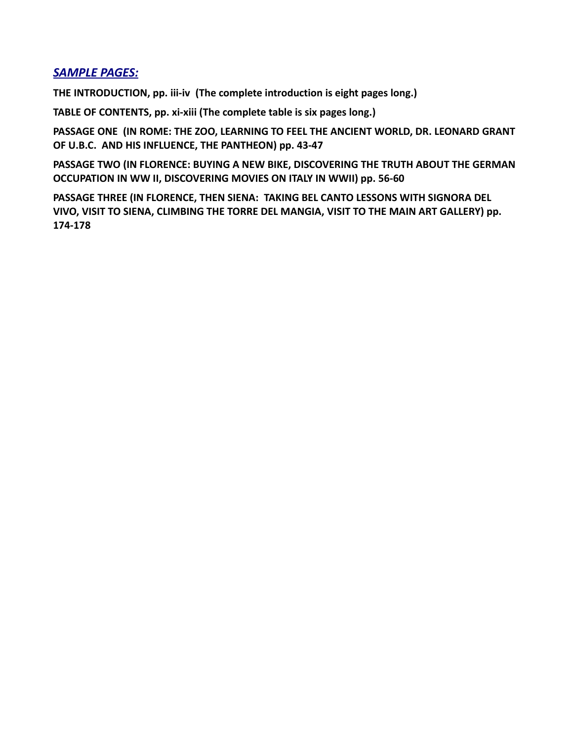## *[SAMPLE PAGES:](http://www.godwinbooks.com/pdf-samples/florence-extracts.pdf)*

**THE INTRODUCTION, pp. iii-iv (The complete introduction is eight pages long.)**

**TABLE OF CONTENTS, pp. xi-xiii (The complete table is six pages long.)** 

**PASSAGE ONE (IN ROME: THE ZOO, LEARNING TO FEEL THE ANCIENT WORLD, DR. LEONARD GRANT OF U.B.C. AND HIS INFLUENCE, THE PANTHEON) pp. 43-47**

**PASSAGE TWO (IN FLORENCE: BUYING A NEW BIKE, DISCOVERING THE TRUTH ABOUT THE GERMAN OCCUPATION IN WW II, DISCOVERING MOVIES ON ITALY IN WWII) pp. 56-60**

**PASSAGE THREE (IN FLORENCE, THEN SIENA: TAKING BEL CANTO LESSONS WITH SIGNORA DEL VIVO, VISIT TO SIENA, CLIMBING THE TORRE DEL MANGIA, VISIT TO THE MAIN ART GALLERY) pp. 174-178**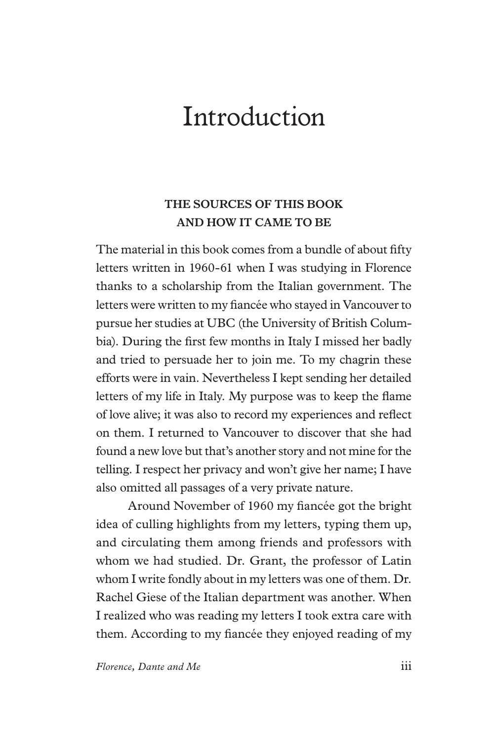# *Introduction*

# *THE SOURCES OF THIS BOOK AND HOW IT CAME TO BE*

The material in this book comes from a bundle of about ffty letters written in 1960-61 when I was studying in Florence thanks to a scholarship from the Italian government. The letters were written to my fancée who stayed in Vancouver to pursue her studies at UBC (the University of British Columbia). During the frst few months in Italy I missed her badly and tried to persuade her to join me. To my chagrin these efforts were in vain. Nevertheless I kept sending her detailed letters of my life in Italy. My purpose was to keep the fame of love alive; it was also to record my experiences and refect on them. I returned to Vancouver to discover that she had found a new love but that's another story and not mine for the telling. I respect her privacy and won't give her name; I have also omitted all passages of a very private nature.

Around November of 1960 my fancée got the bright idea of culling highlights from my letters, typing them up, and circulating them among friends and professors with whom we had studied. Dr. Grant, the professor of Latin whom I write fondly about in my letters was one of them. Dr. Rachel Giese of the Italian department was another. When I realized who was reading my letters I took extra care with them. According to my fancée they enjoyed reading of my

*Florence, Dante and Me* iii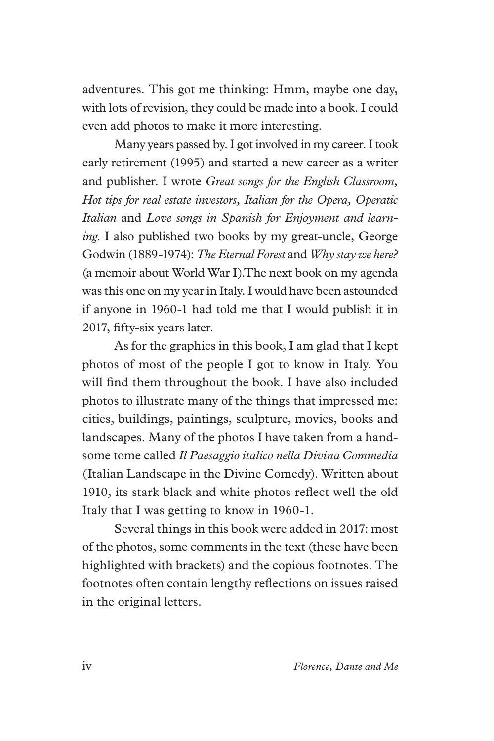adventures. This got me thinking: Hmm, maybe one day, with lots of revision, they could be made into a book. I could even add photos to make it more interesting.

Many years passed by. I got involved in my career. I took early retirement (1995) and started a new career as a writer and publisher. I wrote *Great songs for the English Classroom, Hot tips for real estate investors, Italian for the Opera, Operatic Italian* and *Love songs in Spanish for Enjoyment and learning*. I also published two books by my great-uncle, George Godwin (1889-1974): *The Eternal Forest* and *Why stay we here?*  (a memoir about World War I).The next book on my agenda was this one on my year in Italy. I would have been astounded if anyone in 1960-1 had told me that I would publish it in 2017, ffty-six years later.

As for the graphics in this book, I am glad that I kept photos of most of the people I got to know in Italy. You will fnd them throughout the book. I have also included photos to illustrate many of the things that impressed me: cities, buildings, paintings, sculpture, movies, books and landscapes. Many of the photos I have taken from a handsome tome called *Il Paesaggio italico nella Divina Commedia* (Italian Landscape in the Divine Comedy). Written about 1910, its stark black and white photos refect well the old Italy that I was getting to know in 1960-1.

Several things in this book were added in 2017: most of the photos, some comments in the text (these have been highlighted with brackets) and the copious footnotes. The footnotes often contain lengthy refections on issues raised in the original letters.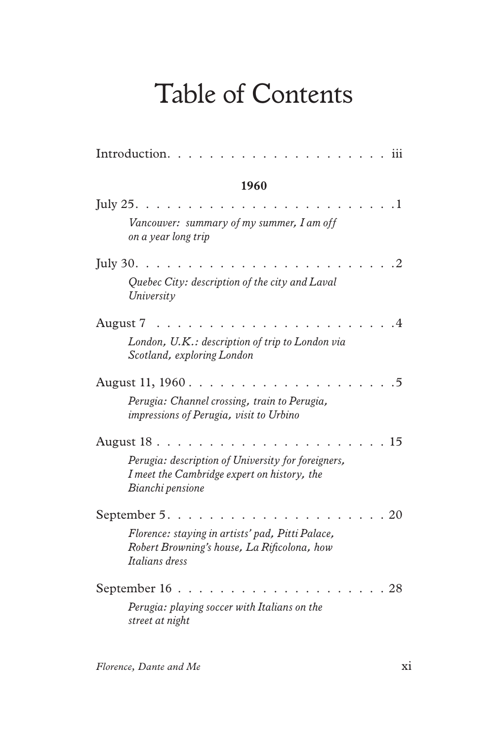# *Table of Contents*

| Introduction.<br>111                                                                                                  |
|-----------------------------------------------------------------------------------------------------------------------|
| 1960                                                                                                                  |
| July $25$ .<br>1                                                                                                      |
| Vancouver: summary of my summer, I am off<br>on a year long trip                                                      |
| July $30.$<br>2                                                                                                       |
| Quebec City: description of the city and Laval<br>University                                                          |
| August 7<br>4                                                                                                         |
| London, U.K.: description of trip to London via<br>Scotland, exploring London                                         |
| August 11, 1960.<br>5                                                                                                 |
| Perugia: Channel crossing, train to Perugia,<br>impressions of Perugia, visit to Urbino                               |
| 15<br>August 18.                                                                                                      |
| Perugia: description of University for foreigners,<br>I meet the Cambridge expert on history, the<br>Bianchi pensione |
| September 5.<br>20                                                                                                    |
| Florence: staying in artists' pad, Pitti Palace,<br>Robert Browning's house, La Rificolona, how<br>Italians dress     |
| September 16<br>28                                                                                                    |
| Perugia: playing soccer with Italians on the<br>street at night                                                       |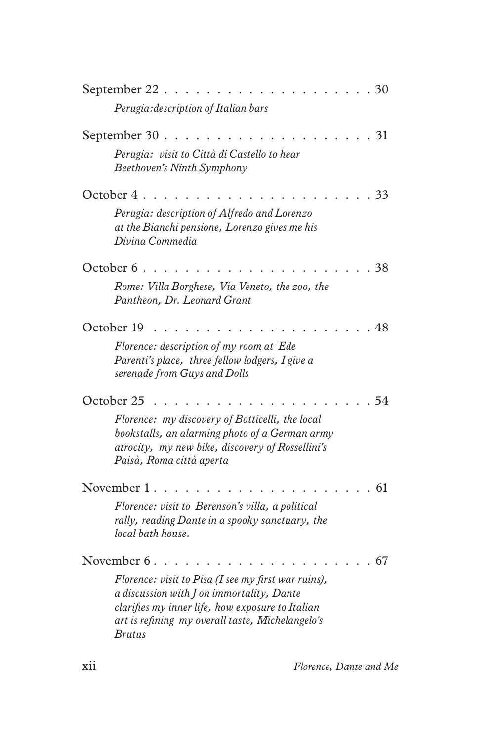| September 22                                                                                                                                                                                                              |  | 30 |    |
|---------------------------------------------------------------------------------------------------------------------------------------------------------------------------------------------------------------------------|--|----|----|
| Perugia: description of Italian bars                                                                                                                                                                                      |  |    |    |
| September 30                                                                                                                                                                                                              |  |    | 31 |
| Perugia: visit to Città di Castello to hear<br><b>Beethoven's Ninth Symphony</b>                                                                                                                                          |  |    |    |
| October 4                                                                                                                                                                                                                 |  |    | 33 |
| Perugia: description of Alfredo and Lorenzo<br>at the Bianchi pensione, Lorenzo gives me his<br>Divina Commedia                                                                                                           |  |    |    |
| October 6                                                                                                                                                                                                                 |  | 38 |    |
| Rome: Villa Borghese, Via Veneto, the zoo, the<br>Pantheon, Dr. Leonard Grant                                                                                                                                             |  |    |    |
| October 19                                                                                                                                                                                                                |  | 48 |    |
| Florence: description of my room at Ede<br>Parenti's place, three fellow lodgers, I give a<br>serenade from Guys and Dolls                                                                                                |  |    |    |
| October 25                                                                                                                                                                                                                |  |    | 54 |
| Florence: my discovery of Botticelli, the local<br>bookstalls, an alarming photo of a German army<br>atrocity, my new bike, discovery of Rossellini's<br>Paisà, Roma città aperta                                         |  |    |    |
| November 1                                                                                                                                                                                                                |  |    | 61 |
| Florence: visit to Berenson's villa, a political<br>rally, reading Dante in a spooky sanctuary, the<br>local bath house.                                                                                                  |  |    |    |
| November 6.                                                                                                                                                                                                               |  |    | 67 |
| Florence: visit to Pisa (I see my first war ruins),<br>a discussion with J on immortality, Dante<br>clarifies my inner life, how exposure to Italian<br>art is refining my overall taste, Michelangelo's<br><i>Brutus</i> |  |    |    |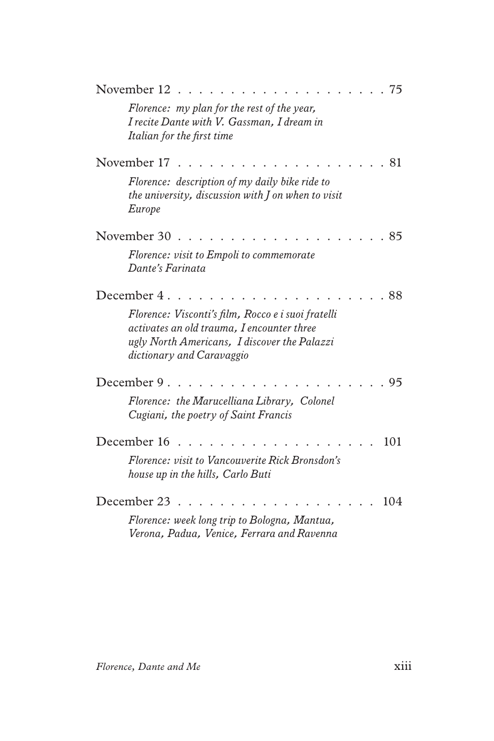| November 12<br>75                                                                                                                                                             |
|-------------------------------------------------------------------------------------------------------------------------------------------------------------------------------|
| Florence: my plan for the rest of the year,<br>I recite Dante with V. Gassman, I dream in<br>Italian for the first time                                                       |
| November 17<br>81                                                                                                                                                             |
| Florence: description of my daily bike ride to<br>the university, discussion with $J$ on when to visit<br>Europe                                                              |
| November 30<br>85                                                                                                                                                             |
| Florence: visit to Empoli to commemorate<br>Dante's Farinata                                                                                                                  |
| December 4.<br>88                                                                                                                                                             |
| Florence: Visconti's film, Rocco e i suoi fratelli<br>activates an old trauma, I encounter three<br>ugly North Americans, I discover the Palazzi<br>dictionary and Caravaggio |
| December 9.<br>95                                                                                                                                                             |
| Florence: the Marucelliana Library, Colonel<br>Cugiani, the poetry of Saint Francis                                                                                           |
| December 16<br>101                                                                                                                                                            |
| Florence: visit to Vancouverite Rick Bronsdon's<br>house up in the hills, Carlo Buti                                                                                          |
| December 23<br>104                                                                                                                                                            |
| Florence: week long trip to Bologna, Mantua,<br>Verona, Padua, Venice, Ferrara and Ravenna                                                                                    |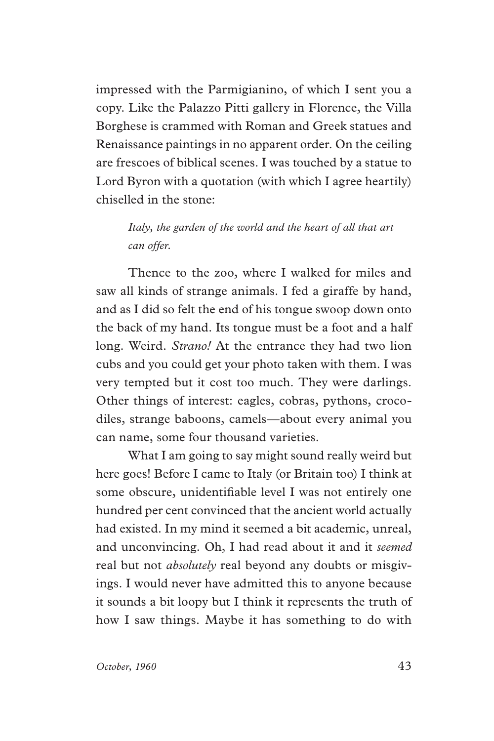impressed with the Parmigianino, of which I sent you a copy. Like the Palazzo Pitti gallery in Florence, the Villa Borghese is crammed with Roman and Greek statues and Renaissance paintings in no apparent order. On the ceiling are frescoes of biblical scenes. I was touched by a statue to Lord Byron with a quotation (with which I agree heartily) chiselled in the stone:

### *Italy, the garden of the world and the heart of all that art can offer.*

Thence to the zoo, where I walked for miles and saw all kinds of strange animals. I fed a giraffe by hand, and as I did so felt the end of his tongue swoop down onto the back of my hand. Its tongue must be a foot and a half long. Weird. *Strano!* At the entrance they had two lion cubs and you could get your photo taken with them. I was very tempted but it cost too much. They were darlings. Other things of interest: eagles, cobras, pythons, crocodiles, strange baboons, camels—about every animal you can name, some four thousand varieties.

What I am going to say might sound really weird but here goes! Before I came to Italy (or Britain too) I think at some obscure, unidentifable level I was not entirely one hundred per cent convinced that the ancient world actually had existed. In my mind it seemed a bit academic, unreal, and unconvincing. Oh, I had read about it and it *seemed* real but not *absolutely* real beyond any doubts or misgivings. I would never have admitted this to anyone because it sounds a bit loopy but I think it represents the truth of how I saw things. Maybe it has something to do with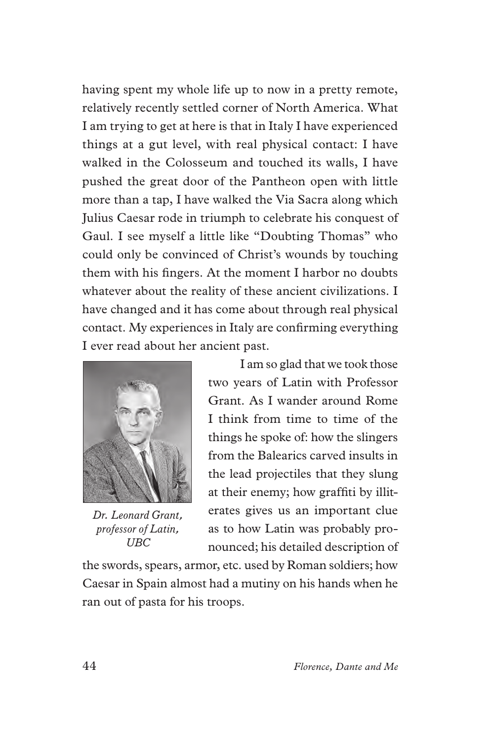having spent my whole life up to now in a pretty remote, relatively recently settled corner of North America. What I am trying to get at here is that in Italy I have experienced things at a gut level, with real physical contact: I have walked in the Colosseum and touched its walls, I have pushed the great door of the Pantheon open with little more than a tap, I have walked the Via Sacra along which Julius Caesar rode in triumph to celebrate his conquest of Gaul. I see myself a little like "Doubting Thomas" who could only be convinced of Christ's wounds by touching them with his fngers. At the moment I harbor no doubts whatever about the reality of these ancient civilizations. I have changed and it has come about through real physical contact. My experiences in Italy are confrming everything I ever read about her ancient past.



*Dr. Leonard Grant, professor of Latin, UBC*

I am so glad that we took those two years of Latin with Professor Grant. As I wander around Rome I think from time to time of the things he spoke of: how the slingers from the Balearics carved insults in the lead projectiles that they slung at their enemy; how graffti by illiterates gives us an important clue as to how Latin was probably pronounced; his detailed description of

the swords, spears, armor, etc. used by Roman soldiers; how Caesar in Spain almost had a mutiny on his hands when he ran out of pasta for his troops.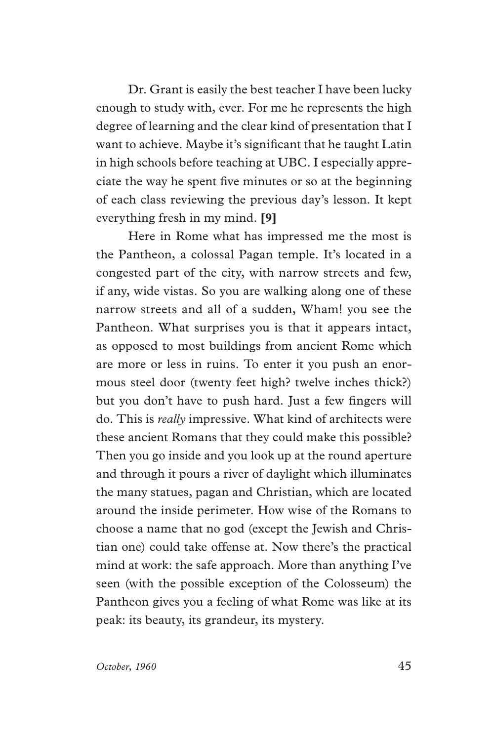Dr. Grant is easily the best teacher I have been lucky enough to study with, ever. For me he represents the high degree of learning and the clear kind of presentation that I want to achieve. Maybe it's signifcant that he taught Latin in high schools before teaching at UBC. I especially appreciate the way he spent fve minutes or so at the beginning of each class reviewing the previous day's lesson. It kept everything fresh in my mind. **[9]**

Here in Rome what has impressed me the most is the Pantheon, a colossal Pagan temple. It's located in a congested part of the city, with narrow streets and few, if any, wide vistas. So you are walking along one of these narrow streets and all of a sudden, Wham! you see the Pantheon. What surprises you is that it appears intact, as opposed to most buildings from ancient Rome which are more or less in ruins. To enter it you push an enormous steel door (twenty feet high? twelve inches thick?) but you don't have to push hard. Just a few fngers will do. This is *really* impressive. What kind of architects were these ancient Romans that they could make this possible? Then you go inside and you look up at the round aperture and through it pours a river of daylight which illuminates the many statues, pagan and Christian, which are located around the inside perimeter. How wise of the Romans to choose a name that no god (except the Jewish and Christian one) could take offense at. Now there's the practical mind at work: the safe approach. More than anything I've seen (with the possible exception of the Colosseum) the Pantheon gives you a feeling of what Rome was like at its peak: its beauty, its grandeur, its mystery.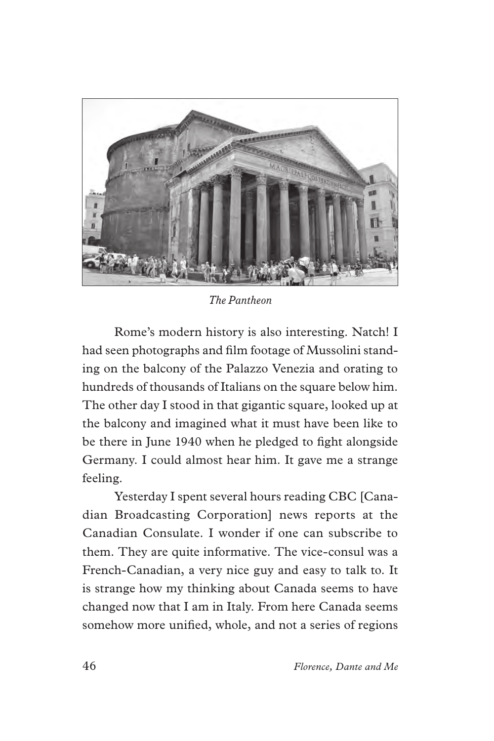

*The Pantheon*

Rome's modern history is also interesting. Natch! I had seen photographs and flm footage of Mussolini standing on the balcony of the Palazzo Venezia and orating to hundreds of thousands of Italians on the square below him. The other day I stood in that gigantic square, looked up at the balcony and imagined what it must have been like to be there in June 1940 when he pledged to fght alongside Germany. I could almost hear him. It gave me a strange feeling.

Yesterday I spent several hours reading CBC [Canadian Broadcasting Corporation] news reports at the Canadian Consulate. I wonder if one can subscribe to them. They are quite informative. The vice-consul was a French-Canadian, a very nice guy and easy to talk to. It is strange how my thinking about Canada seems to have changed now that I am in Italy. From here Canada seems somehow more unifed, whole, and not a series of regions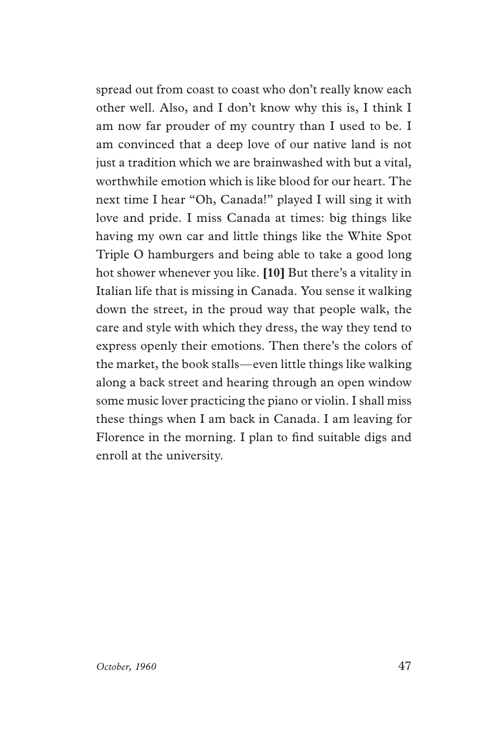spread out from coast to coast who don't really know each other well. Also, and I don't know why this is, I think I am now far prouder of my country than I used to be. I am convinced that a deep love of our native land is not just a tradition which we are brainwashed with but a vital, worthwhile emotion which is like blood for our heart. The next time I hear "Oh, Canada!" played I will sing it with love and pride. I miss Canada at times: big things like having my own car and little things like the White Spot Triple O hamburgers and being able to take a good long hot shower whenever you like. **[10]** But there's a vitality in Italian life that is missing in Canada. You sense it walking down the street, in the proud way that people walk, the care and style with which they dress, the way they tend to express openly their emotions. Then there's the colors of the market, the book stalls—even little things like walking along a back street and hearing through an open window some music lover practicing the piano or violin. I shall miss these things when I am back in Canada. I am leaving for Florence in the morning. I plan to fnd suitable digs and enroll at the university.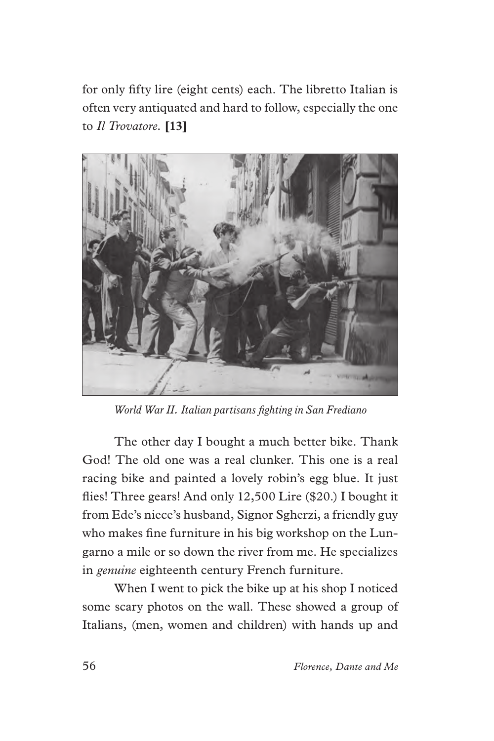for only ffty lire (eight cents) each. The libretto Italian is often very antiquated and hard to follow, especially the one to *Il Trovatore.* **[13]**



*World War II. Italian partisans fghting in San Frediano*

The other day I bought a much better bike. Thank God! The old one was a real clunker. This one is a real racing bike and painted a lovely robin's egg blue. It just fies! Three gears! And only 12,500 Lire (\$20.) I bought it from Ede's niece's husband, Signor Sgherzi, a friendly guy who makes fne furniture in his big workshop on the Lungarno a mile or so down the river from me. He specializes in *genuine* eighteenth century French furniture.

When I went to pick the bike up at his shop I noticed some scary photos on the wall. These showed a group of Italians, (men, women and children) with hands up and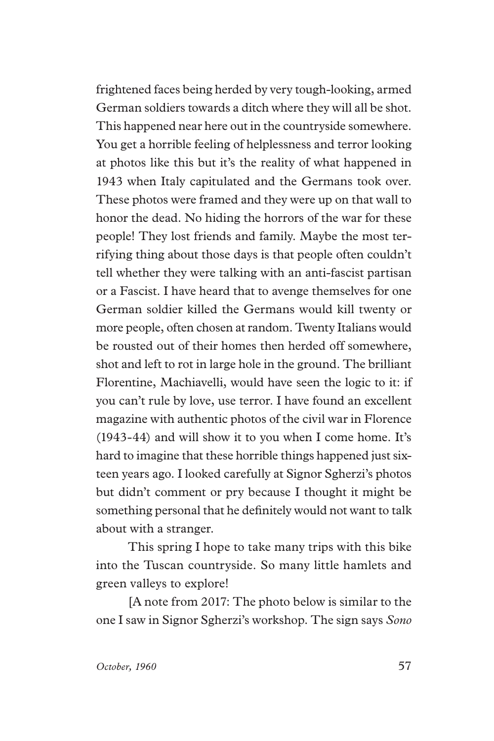frightened faces being herded by very tough-looking, armed German soldiers towards a ditch where they will all be shot. This happened near here out in the countryside somewhere. You get a horrible feeling of helplessness and terror looking at photos like this but it's the reality of what happened in 1943 when Italy capitulated and the Germans took over. These photos were framed and they were up on that wall to honor the dead. No hiding the horrors of the war for these people! They lost friends and family. Maybe the most terrifying thing about those days is that people often couldn't tell whether they were talking with an anti-fascist partisan or a Fascist. I have heard that to avenge themselves for one German soldier killed the Germans would kill twenty or more people, often chosen at random. Twenty Italians would be rousted out of their homes then herded off somewhere, shot and left to rot in large hole in the ground. The brilliant Florentine, Machiavelli, would have seen the logic to it: if you can't rule by love, use terror. I have found an excellent magazine with authentic photos of the civil war in Florence (1943-44) and will show it to you when I come home. It's hard to imagine that these horrible things happened just sixteen years ago. I looked carefully at Signor Sgherzi's photos but didn't comment or pry because I thought it might be something personal that he defnitely would not want to talk about with a stranger.

This spring I hope to take many trips with this bike into the Tuscan countryside. So many little hamlets and green valleys to explore!

[A note from 2017: The photo below is similar to the one I saw in Signor Sgherzi's workshop. The sign says *Sono*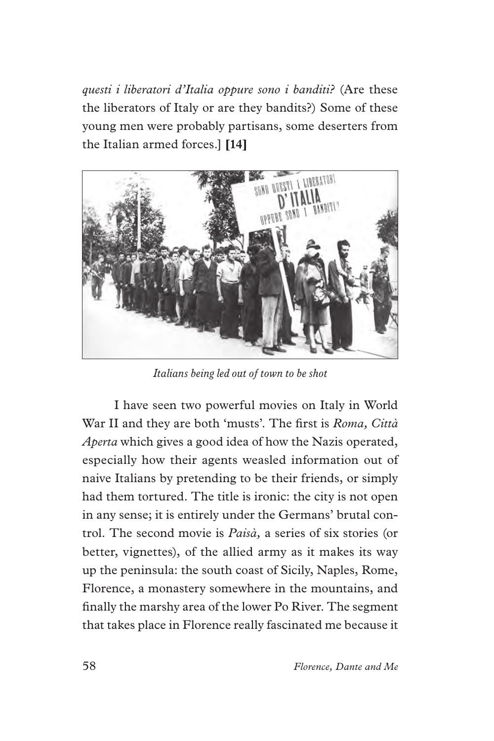*questi i liberatori d'Italia oppure sono i banditi?* (Are these the liberators of Italy or are they bandits?) Some of these young men were probably partisans, some deserters from the Italian armed forces.] **[14]**



*Italians being led out of town to be shot*

I have seen two powerful movies on Italy in World War II and they are both 'musts'. The frst is *Roma, Città Aperta* which gives a good idea of how the Nazis operated, especially how their agents weasled information out of naive Italians by pretending to be their friends, or simply had them tortured. The title is ironic: the city is not open in any sense; it is entirely under the Germans' brutal control. The second movie is *Paisà,* a series of six stories (or better, vignettes), of the allied army as it makes its way up the peninsula: the south coast of Sicily, Naples, Rome, Florence, a monastery somewhere in the mountains, and fnally the marshy area of the lower Po River. The segment that takes place in Florence really fascinated me because it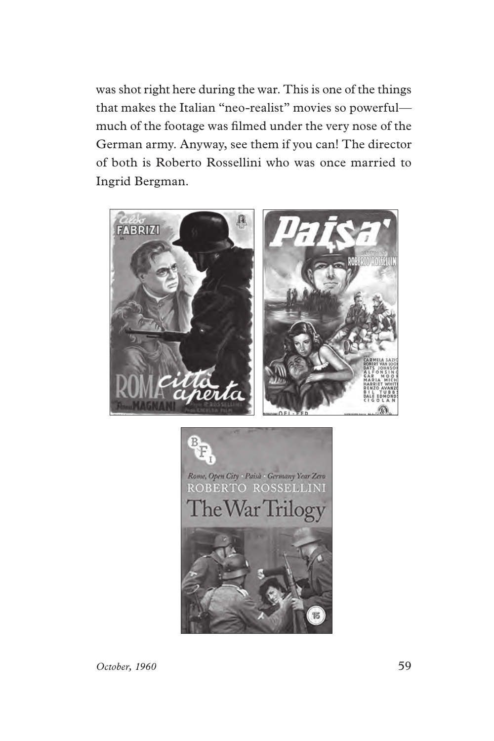was shot right here during the war. This is one of the things that makes the Italian "neo-realist" movies so powerful much of the footage was flmed under the very nose of the German army. Anyway, see them if you can! The director of both is Roberto Rossellini who was once married to Ingrid Bergman.



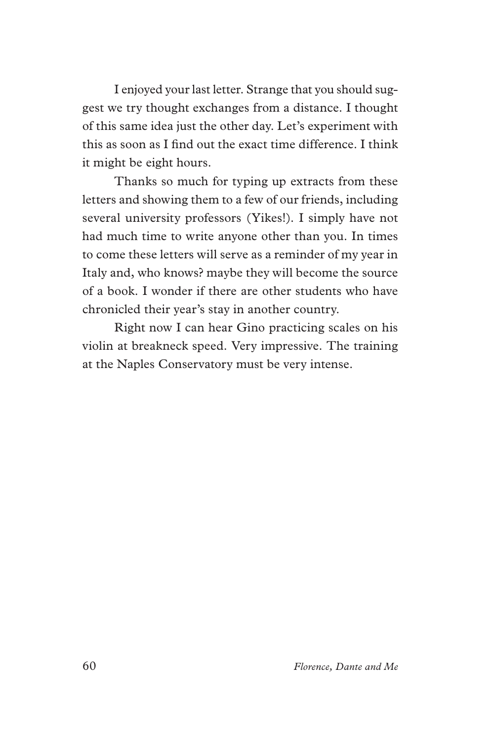I enjoyed your last letter. Strange that you should suggest we try thought exchanges from a distance. I thought of this same idea just the other day. Let's experiment with this as soon as I fnd out the exact time difference. I think it might be eight hours.

Thanks so much for typing up extracts from these letters and showing them to a few of our friends, including several university professors (Yikes!). I simply have not had much time to write anyone other than you. In times to come these letters will serve as a reminder of my year in Italy and, who knows? maybe they will become the source of a book. I wonder if there are other students who have chronicled their year's stay in another country.

Right now I can hear Gino practicing scales on his violin at breakneck speed. Very impressive. The training at the Naples Conservatory must be very intense.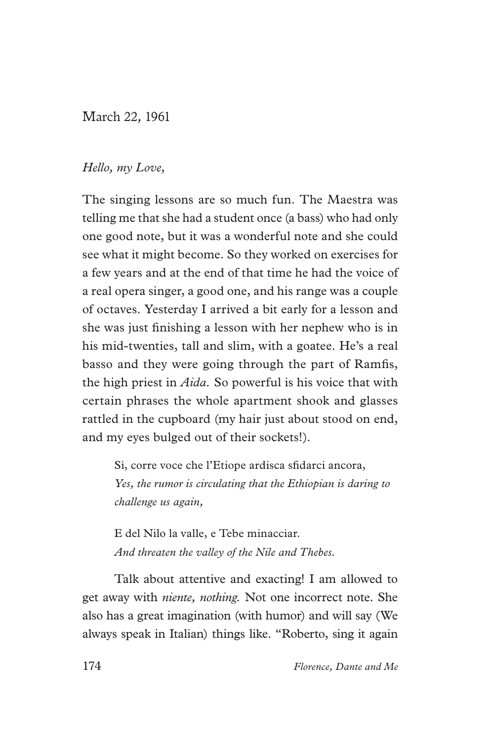### *March 22, 1961*

#### *Hello, my Love,*

The singing lessons are so much fun. The Maestra was telling me that she had a student once (a bass) who had only one good note, but it was a wonderful note and she could see what it might become. So they worked on exercises for a few years and at the end of that time he had the voice of a real opera singer, a good one, and his range was a couple of octaves. Yesterday I arrived a bit early for a lesson and she was just fnishing a lesson with her nephew who is in his mid-twenties, tall and slim, with a goatee. He's a real basso and they were going through the part of Ramfs, the high priest in *Aida.* So powerful is his voice that with certain phrases the whole apartment shook and glasses rattled in the cupboard (my hair just about stood on end, and my eyes bulged out of their sockets!).

Sì, corre voce che l'Etiope ardisca sfdarci ancora, *Yes, the rumor is circulating that the Ethiopian is daring to challenge us again,*

E del Nilo la valle, e Tebe minacciar. *And threaten the valley of the Nile and Thebes.*

Talk about attentive and exacting! I am allowed to get away with *niente, nothing.* Not one incorrect note. She also has a great imagination (with humor) and will say (We always speak in Italian) things like. "Roberto, sing it again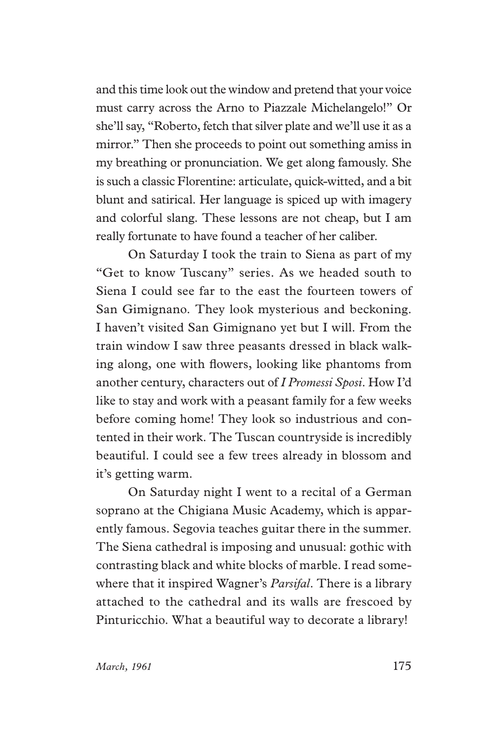and this time look out the window and pretend that your voice must carry across the Arno to Piazzale Michelangelo!" Or she'll say, "Roberto, fetch that silver plate and we'll use it as a mirror." Then she proceeds to point out something amiss in my breathing or pronunciation. We get along famously. She is such a classic Florentine: articulate, quick-witted, and a bit blunt and satirical. Her language is spiced up with imagery and colorful slang. These lessons are not cheap, but I am really fortunate to have found a teacher of her caliber.

On Saturday I took the train to Siena as part of my "Get to know Tuscany" series. As we headed south to Siena I could see far to the east the fourteen towers of San Gimignano. They look mysterious and beckoning. I haven't visited San Gimignano yet but I will. From the train window I saw three peasants dressed in black walking along, one with fowers, looking like phantoms from another century, characters out of *I Promessi Sposi*. How I'd like to stay and work with a peasant family for a few weeks before coming home! They look so industrious and contented in their work. The Tuscan countryside is incredibly beautiful. I could see a few trees already in blossom and it's getting warm.

On Saturday night I went to a recital of a German soprano at the Chigiana Music Academy, which is apparently famous. Segovia teaches guitar there in the summer. The Siena cathedral is imposing and unusual: gothic with contrasting black and white blocks of marble. I read somewhere that it inspired Wagner's *Parsifal*. There is a library attached to the cathedral and its walls are frescoed by Pinturicchio. What a beautiful way to decorate a library!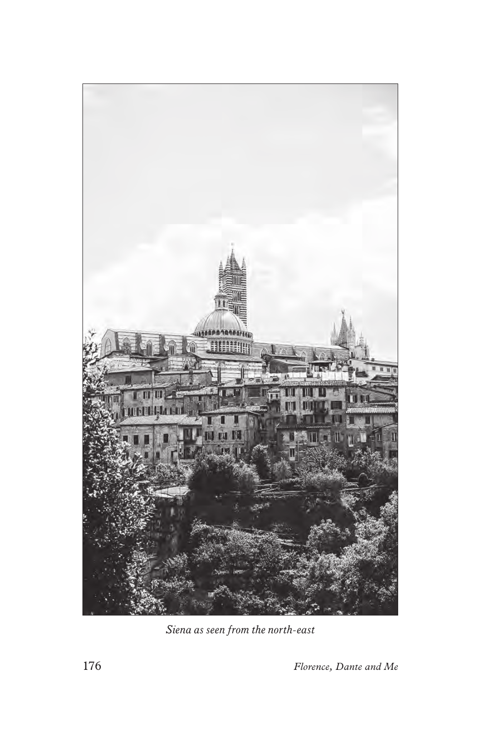

*Siena as seen from the north-east*

176 *Florence, Dante and Me*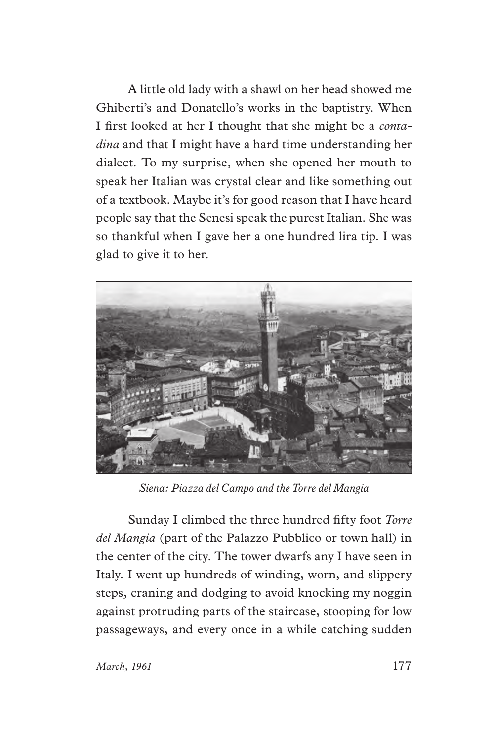A little old lady with a shawl on her head showed me Ghiberti's and Donatello's works in the baptistry. When I frst looked at her I thought that she might be a *contadina* and that I might have a hard time understanding her dialect. To my surprise, when she opened her mouth to speak her Italian was crystal clear and like something out of a textbook. Maybe it's for good reason that I have heard people say that the Senesi speak the purest Italian. She was so thankful when I gave her a one hundred lira tip. I was glad to give it to her.



*Siena: Piazza del Campo and the Torre del Mangia*

Sunday I climbed the three hundred ffty foot *Torre del Mangia* (part of the Palazzo Pubblico or town hall) in the center of the city. The tower dwarfs any I have seen in Italy. I went up hundreds of winding, worn, and slippery steps, craning and dodging to avoid knocking my noggin against protruding parts of the staircase, stooping for low passageways, and every once in a while catching sudden